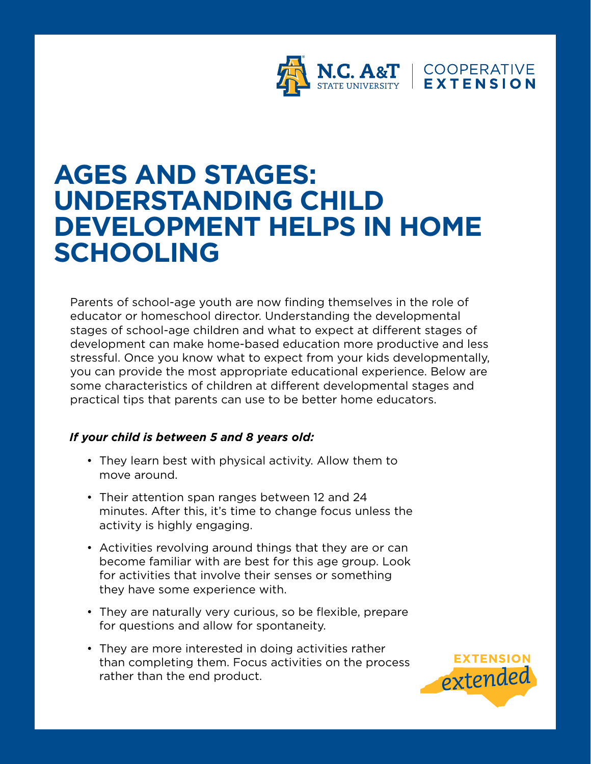

# **AGES AND STAGES: UNDERSTANDING CHILD DEVELOPMENT HELPS IN HOME SCHOOLING**

Parents of school-age youth are now finding themselves in the role of educator or homeschool director. Understanding the developmental stages of school-age children and what to expect at different stages of development can make home-based education more productive and less stressful. Once you know what to expect from your kids developmentally, you can provide the most appropriate educational experience. Below are some characteristics of children at different developmental stages and practical tips that parents can use to be better home educators.

### *If your child is between 5 and 8 years old:*

- They learn best with physical activity. Allow them to move around.
- Their attention span ranges between 12 and 24 minutes. After this, it's time to change focus unless the activity is highly engaging.
- Activities revolving around things that they are or can become familiar with are best for this age group. Look for activities that involve their senses or something they have some experience with.
- They are naturally very curious, so be flexible, prepare for questions and allow for spontaneity.
- They are more interested in doing activities rather than completing them. Focus activities on the process rather than the end product.

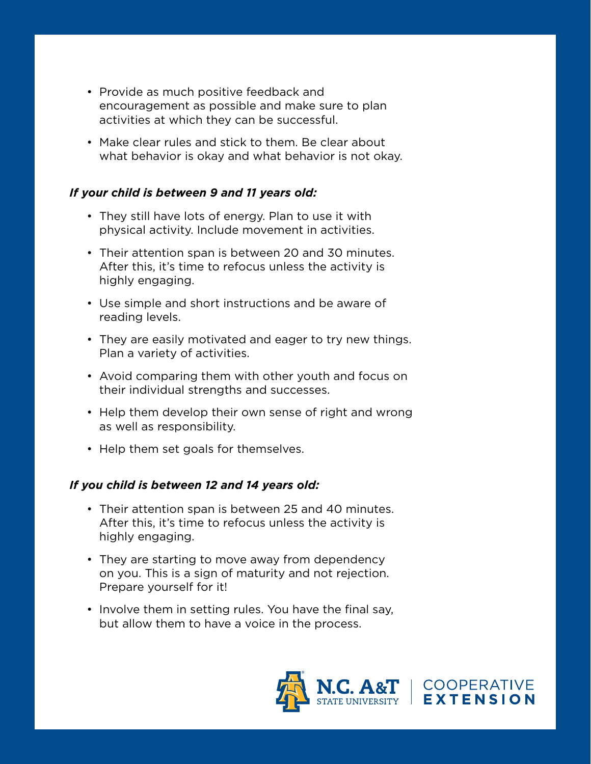- Provide as much positive feedback and encouragement as possible and make sure to plan activities at which they can be successful.
- Make clear rules and stick to them. Be clear about what behavior is okay and what behavior is not okay.

# *If your child is between 9 and 11 years old:*

- They still have lots of energy. Plan to use it with physical activity. Include movement in activities.
- Their attention span is between 20 and 30 minutes. After this, it's time to refocus unless the activity is highly engaging.
- Use simple and short instructions and be aware of reading levels.
- They are easily motivated and eager to try new things. Plan a variety of activities.
- Avoid comparing them with other youth and focus on their individual strengths and successes.
- Help them develop their own sense of right and wrong as well as responsibility.
- Help them set goals for themselves.

### *If you child is between 12 and 14 years old:*

- Their attention span is between 25 and 40 minutes. After this, it's time to refocus unless the activity is highly engaging.
- They are starting to move away from dependency on you. This is a sign of maturity and not rejection. Prepare yourself for it!
- Involve them in setting rules. You have the final say, but allow them to have a voice in the process.